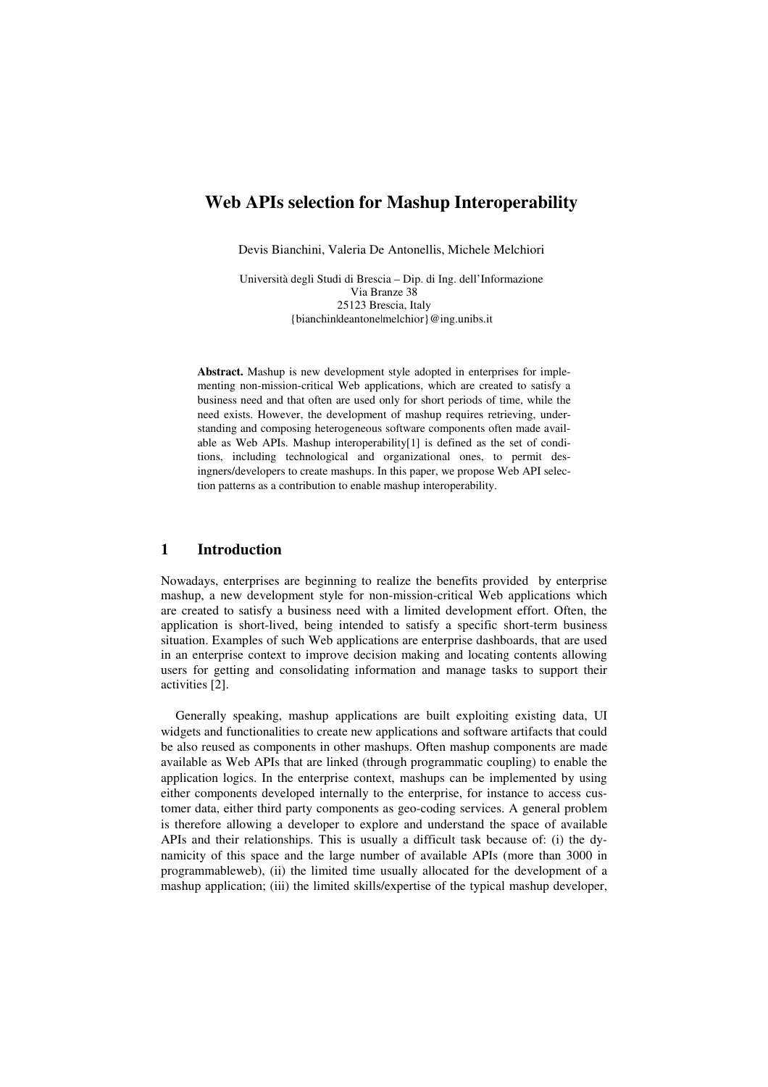# **Web APIs selection for Mashup Interoperability**

Devis Bianchini, Valeria De Antonellis, Michele Melchiori

Università degli Studi di Brescia – Dip. di Ing. dell'Informazione Via Branze 38 25123 Brescia, Italy {bianchin|deantone|melchior}@ing.unibs.it

**Abstract.** Mashup is new development style adopted in enterprises for implementing non-mission-critical Web applications, which are created to satisfy a business need and that often are used only for short periods of time, while the need exists. However, the development of mashup requires retrieving, understanding and composing heterogeneous software components often made available as Web APIs. Mashup interoperability[1] is defined as the set of conditions, including technological and organizational ones, to permit desingners/developers to create mashups. In this paper, we propose Web API selection patterns as a contribution to enable mashup interoperability.

### **1 Introduction**

Nowadays, enterprises are beginning to realize the benefits provided by enterprise mashup, a new development style for non-mission-critical Web applications which are created to satisfy a business need with a limited development effort. Often, the application is short-lived, being intended to satisfy a specific short-term business situation. Examples of such Web applications are enterprise dashboards, that are used in an enterprise context to improve decision making and locating contents allowing users for getting and consolidating information and manage tasks to support their activities [2].

Generally speaking, mashup applications are built exploiting existing data, UI widgets and functionalities to create new applications and software artifacts that could be also reused as components in other mashups. Often mashup components are made available as Web APIs that are linked (through programmatic coupling) to enable the application logics. In the enterprise context, mashups can be implemented by using either components developed internally to the enterprise, for instance to access customer data, either third party components as geo-coding services. A general problem is therefore allowing a developer to explore and understand the space of available APIs and their relationships. This is usually a difficult task because of: (i) the dynamicity of this space and the large number of available APIs (more than 3000 in programmableweb), (ii) the limited time usually allocated for the development of a mashup application; (iii) the limited skills/expertise of the typical mashup developer,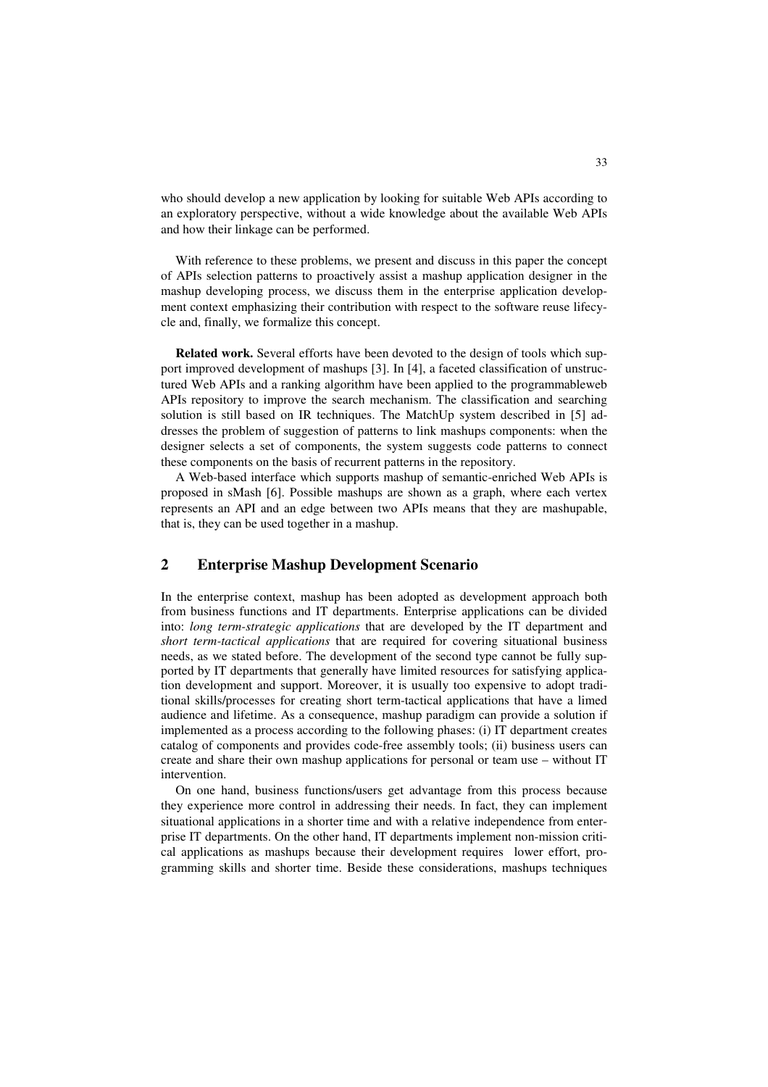who should develop a new application by looking for suitable Web APIs according to an exploratory perspective, without a wide knowledge about the available Web APIs and how their linkage can be performed.

With reference to these problems, we present and discuss in this paper the concept of APIs selection patterns to proactively assist a mashup application designer in the mashup developing process, we discuss them in the enterprise application development context emphasizing their contribution with respect to the software reuse lifecycle and, finally, we formalize this concept.

**Related work.** Several efforts have been devoted to the design of tools which support improved development of mashups [3]. In [4], a faceted classification of unstructured Web APIs and a ranking algorithm have been applied to the programmableweb APIs repository to improve the search mechanism. The classification and searching solution is still based on IR techniques. The MatchUp system described in [5] addresses the problem of suggestion of patterns to link mashups components: when the designer selects a set of components, the system suggests code patterns to connect these components on the basis of recurrent patterns in the repository.

A Web-based interface which supports mashup of semantic-enriched Web APIs is proposed in sMash [6]. Possible mashups are shown as a graph, where each vertex represents an API and an edge between two APIs means that they are mashupable, that is, they can be used together in a mashup.

## **2 Enterprise Mashup Development Scenario**

In the enterprise context, mashup has been adopted as development approach both from business functions and IT departments. Enterprise applications can be divided into: *long term-strategic applications* that are developed by the IT department and *short term-tactical applications* that are required for covering situational business needs, as we stated before. The development of the second type cannot be fully supported by IT departments that generally have limited resources for satisfying application development and support. Moreover, it is usually too expensive to adopt traditional skills/processes for creating short term-tactical applications that have a limed audience and lifetime. As a consequence, mashup paradigm can provide a solution if implemented as a process according to the following phases: (i) IT department creates catalog of components and provides code-free assembly tools; (ii) business users can create and share their own mashup applications for personal or team use – without IT intervention.

On one hand, business functions/users get advantage from this process because they experience more control in addressing their needs. In fact, they can implement situational applications in a shorter time and with a relative independence from enterprise IT departments. On the other hand, IT departments implement non-mission critical applications as mashups because their development requires lower effort, programming skills and shorter time. Beside these considerations, mashups techniques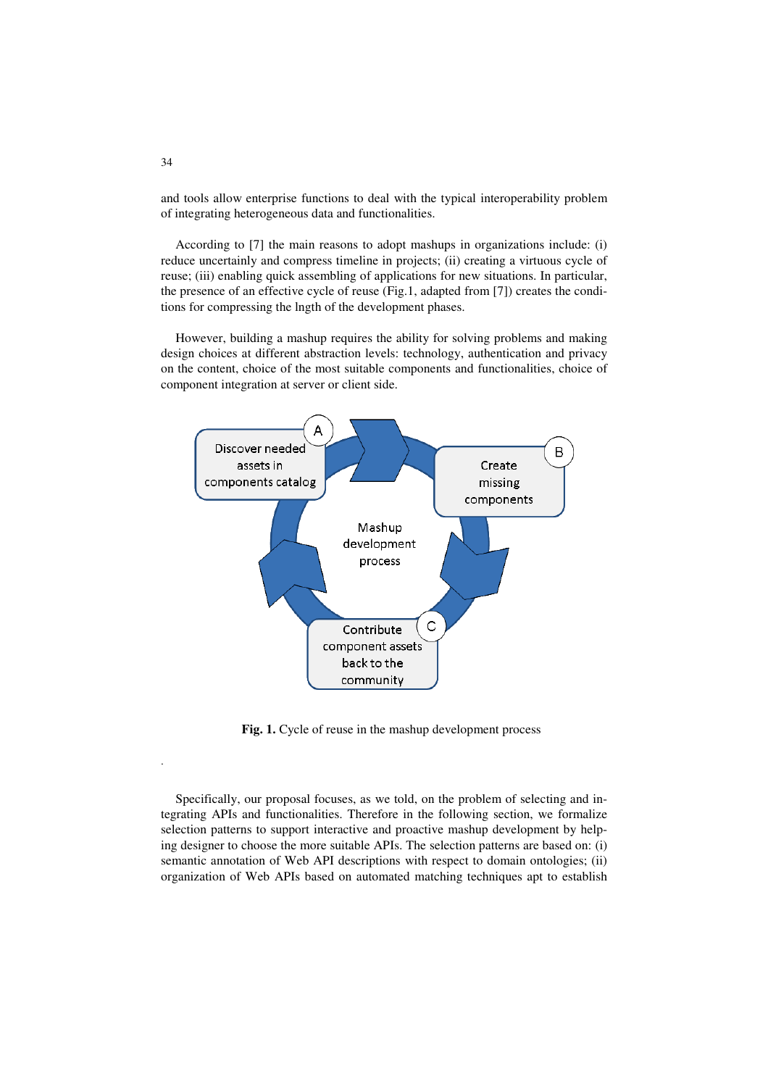and tools allow enterprise functions to deal with the typical interoperability problem of integrating heterogeneous data and functionalities.

According to [7] the main reasons to adopt mashups in organizations include: (i) reduce uncertainly and compress timeline in projects; (ii) creating a virtuous cycle of reuse; (iii) enabling quick assembling of applications for new situations. In particular, the presence of an effective cycle of reuse (Fig.1, adapted from [7]) creates the conditions for compressing the lngth of the development phases.

However, building a mashup requires the ability for solving problems and making design choices at different abstraction levels: technology, authentication and privacy on the content, choice of the most suitable components and functionalities, choice of component integration at server or client side.



Fig. 1. Cycle of reuse in the mashup development process

Specifically, our proposal focuses, as we told, on the problem of selecting and integrating APIs and functionalities. Therefore in the following section, we formalize selection patterns to support interactive and proactive mashup development by helping designer to choose the more suitable APIs. The selection patterns are based on: (i) semantic annotation of Web API descriptions with respect to domain ontologies; (ii) organization of Web APIs based on automated matching techniques apt to establish

.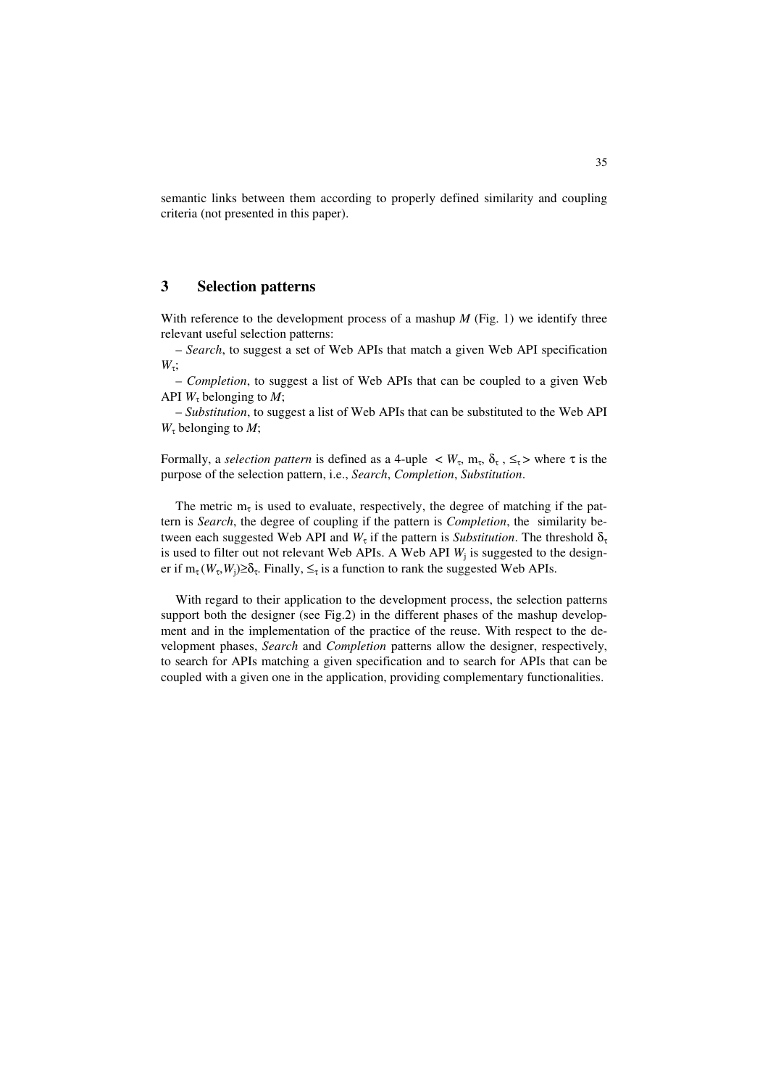semantic links between them according to properly defined similarity and coupling criteria (not presented in this paper).

### **3 Selection patterns**

With reference to the development process of a mashup  $M$  (Fig. 1) we identify three relevant useful selection patterns:

– *Search*, to suggest a set of Web APIs that match a given Web API specification  $W_{τ}$ ;

– *Completion*, to suggest a list of Web APIs that can be coupled to a given Web API  $W_{\tau}$  belonging to *M*;

– *Substitution*, to suggest a list of Web APIs that can be substituted to the Web API  $W_{\tau}$  belonging to *M*;

Formally, a *selection pattern* is defined as a 4-uple  $\langle W_{\tau}, m_{\tau}, \delta_{\tau}, \leq_{\tau} \rangle$  where  $\tau$  is the purpose of the selection pattern, i.e., *Search*, *Completion*, *Substitution*.

The metric  $m<sub>\tau</sub>$  is used to evaluate, respectively, the degree of matching if the pattern is *Search*, the degree of coupling if the pattern is *Completion*, the similarity between each suggested Web API and  $W_{\tau}$  if the pattern is *Substitution*. The threshold  $\delta_{\tau}$ is used to filter out not relevant Web APIs. A Web API *W*<sup>j</sup> is suggested to the designer if  $m_{\tau}(W_{\tau}, W_j) \ge \delta_{\tau}$ . Finally,  $\le_{\tau}$  is a function to rank the suggested Web APIs.

With regard to their application to the development process, the selection patterns support both the designer (see Fig.2) in the different phases of the mashup development and in the implementation of the practice of the reuse. With respect to the development phases, *Search* and *Completion* patterns allow the designer, respectively, to search for APIs matching a given specification and to search for APIs that can be coupled with a given one in the application, providing complementary functionalities.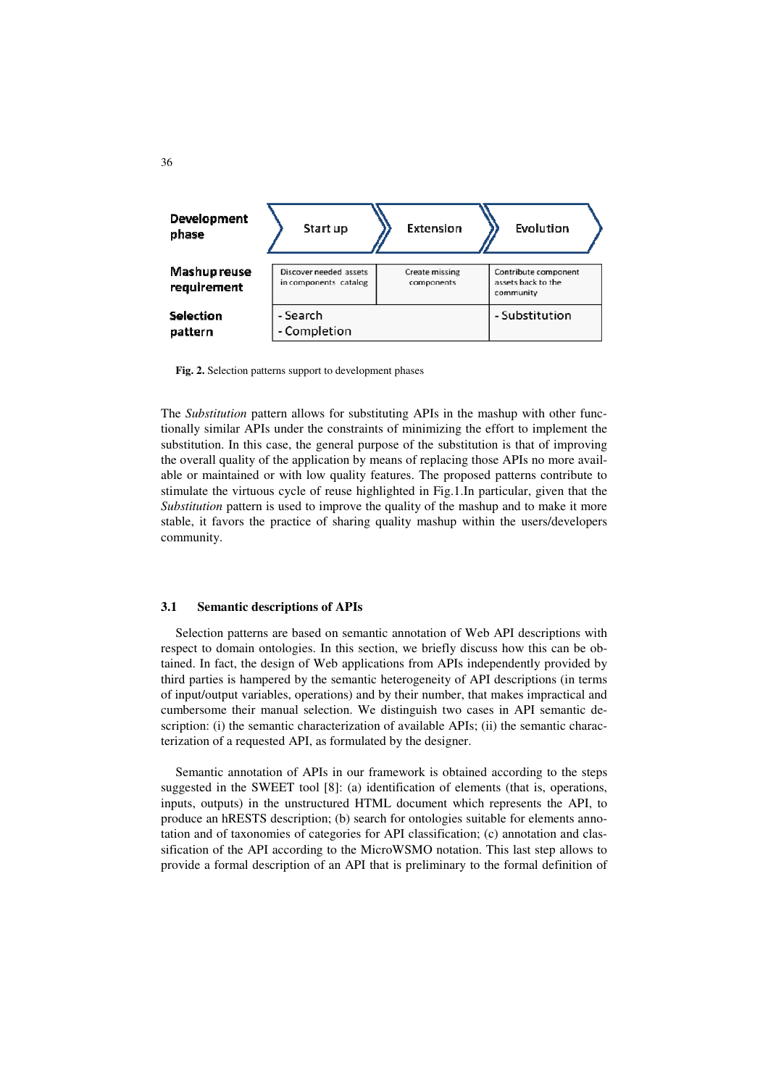

**Fig. 2.** Selection patterns support to development phases

The *Substitution* pattern allows for substituting APIs in the mashup with other functionally similar APIs under the constraints of minimizing the effort to implement the substitution. In this case, the general purpose of the substitution is that of improving the overall quality of the application by means of replacing those APIs no more available or maintained or with low quality features. The proposed patterns contribute to stimulate the virtuous cycle of reuse highlighted in Fig.1.In particular, given that the *Substitution* pattern is used to improve the quality of the mashup and to make it more stable, it favors the practice of sharing quality mashup within the users/developers community.

#### **3.1 Semantic descriptions of APIs**

Selection patterns are based on semantic annotation of Web API descriptions with respect to domain ontologies. In this section, we briefly discuss how this can be obtained. In fact, the design of Web applications from APIs independently provided by third parties is hampered by the semantic heterogeneity of API descriptions (in terms of input/output variables, operations) and by their number, that makes impractical and cumbersome their manual selection. We distinguish two cases in API semantic description: (i) the semantic characterization of available APIs; (ii) the semantic characterization of a requested API, as formulated by the designer.

Semantic annotation of APIs in our framework is obtained according to the steps suggested in the SWEET tool [8]: (a) identification of elements (that is, operations, inputs, outputs) in the unstructured HTML document which represents the API, to produce an hRESTS description; (b) search for ontologies suitable for elements annotation and of taxonomies of categories for API classification; (c) annotation and classification of the API according to the MicroWSMO notation. This last step allows to provide a formal description of an API that is preliminary to the formal definition of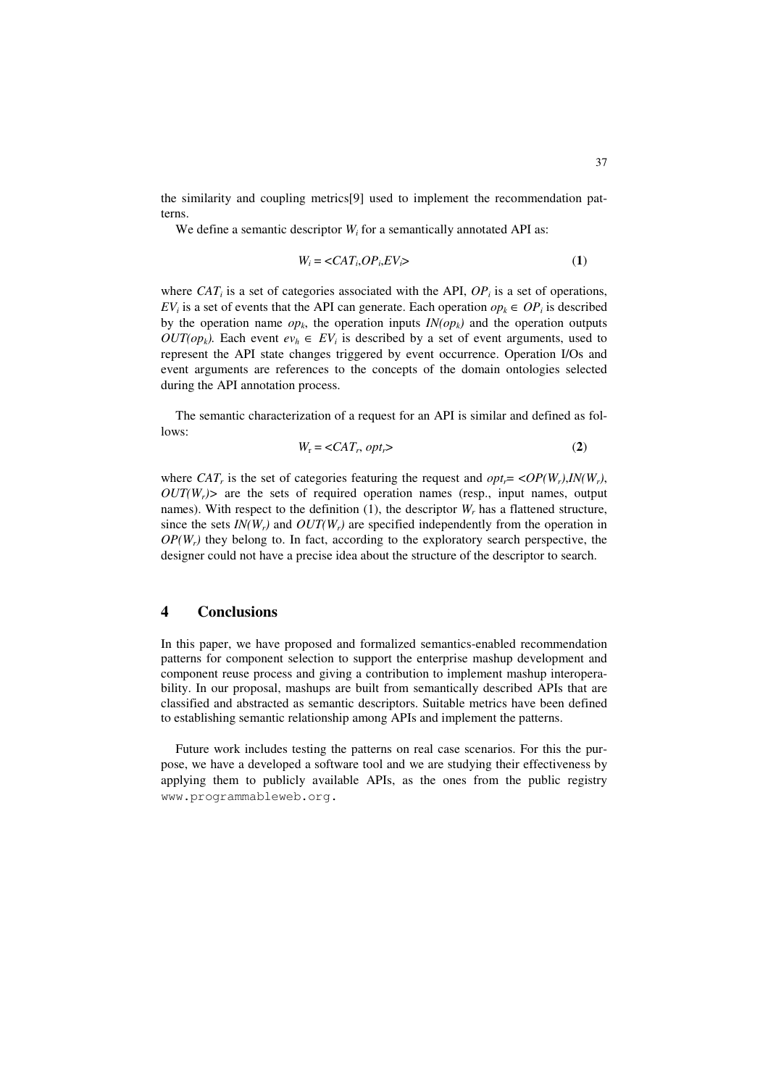the similarity and coupling metrics[9] used to implement the recommendation patterns.

We define a semantic descriptor  $W_i$  for a semantically annotated API as:

$$
W_i = \langle CAT_i, OP_i, EV_i \rangle \tag{1}
$$

where  $CAT_i$  is a set of categories associated with the API,  $OP_i$  is a set of operations, *EV*<sup>*i*</sup> is a set of events that the API can generate. Each operation  $op_k \in OP_i$  is described by the operation name  $op_k$ , the operation inputs  $IN(op_k)$  and the operation outputs *OUT(op<sub>k</sub>*). Each event  $ev_h \in EV_i$  is described by a set of event arguments, used to represent the API state changes triggered by event occurrence. Operation I/Os and event arguments are references to the concepts of the domain ontologies selected during the API annotation process.

The semantic characterization of a request for an API is similar and defined as follows:

$$
W_{\rm r} = \langle CAT_r, opt_r \rangle \tag{2}
$$

where *CAT<sub>r</sub>* is the set of categories featuring the request and  $opt_r = \langle OP(W_r), IN(W_r),$  $OUT(W_r)$  are the sets of required operation names (resp., input names, output names). With respect to the definition  $(1)$ , the descriptor  $W_r$  has a flattened structure, since the sets  $IN(W_r)$  and  $OUT(W_r)$  are specified independently from the operation in  $OP(W<sub>r</sub>)$  they belong to. In fact, according to the exploratory search perspective, the designer could not have a precise idea about the structure of the descriptor to search.

#### **4 Conclusions**

In this paper, we have proposed and formalized semantics-enabled recommendation patterns for component selection to support the enterprise mashup development and component reuse process and giving a contribution to implement mashup interoperability. In our proposal, mashups are built from semantically described APIs that are classified and abstracted as semantic descriptors. Suitable metrics have been defined to establishing semantic relationship among APIs and implement the patterns.

Future work includes testing the patterns on real case scenarios. For this the purpose, we have a developed a software tool and we are studying their effectiveness by applying them to publicly available APIs, as the ones from the public registry www.programmableweb.org.